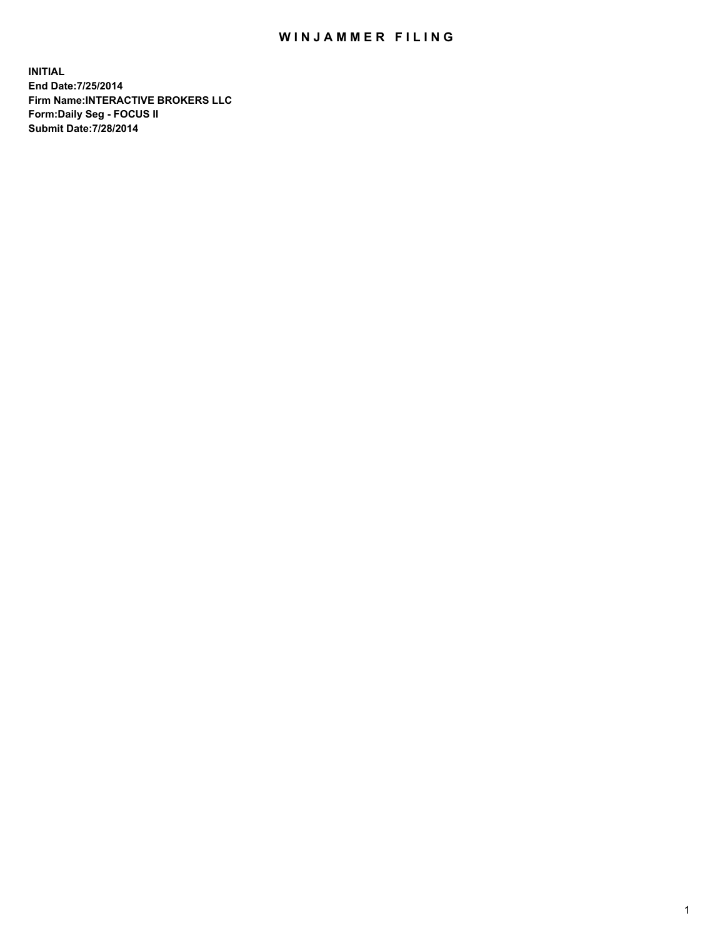## WIN JAMMER FILING

**INITIAL End Date:7/25/2014 Firm Name:INTERACTIVE BROKERS LLC Form:Daily Seg - FOCUS II Submit Date:7/28/2014**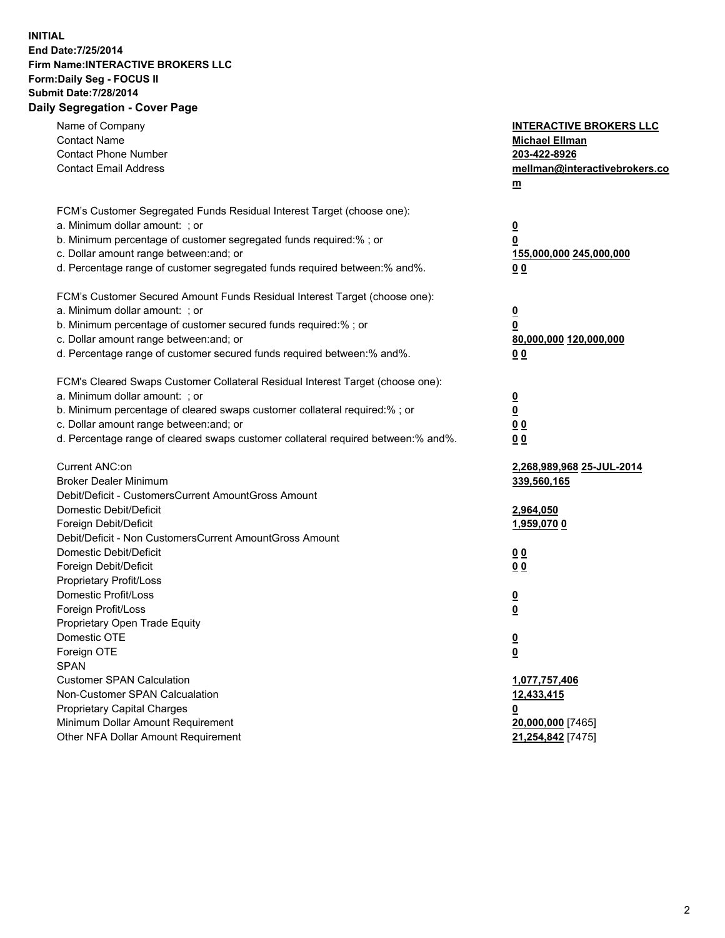## **INITIAL End Date:7/25/2014 Firm Name:INTERACTIVE BROKERS LLC Form:Daily Seg - FOCUS II Submit Date:7/28/2014 Daily Segregation - Cover Page**

| Name of Company<br><b>Contact Name</b><br><b>Contact Phone Number</b><br><b>Contact Email Address</b>                                                                                                                                                                                                                          | <b>INTERACTIVE BROKERS LLC</b><br><b>Michael Ellman</b><br>203-422-8926<br>mellman@interactivebrokers.co<br><u>m</u> |
|--------------------------------------------------------------------------------------------------------------------------------------------------------------------------------------------------------------------------------------------------------------------------------------------------------------------------------|----------------------------------------------------------------------------------------------------------------------|
| FCM's Customer Segregated Funds Residual Interest Target (choose one):<br>a. Minimum dollar amount: ; or<br>b. Minimum percentage of customer segregated funds required:% ; or<br>c. Dollar amount range between: and; or<br>d. Percentage range of customer segregated funds required between:% and%.                         | <u>0</u><br>0<br>155,000,000 245,000,000<br>00                                                                       |
| FCM's Customer Secured Amount Funds Residual Interest Target (choose one):<br>a. Minimum dollar amount: ; or<br>b. Minimum percentage of customer secured funds required:% ; or<br>c. Dollar amount range between: and; or<br>d. Percentage range of customer secured funds required between:% and%.                           | $\overline{\mathbf{0}}$<br>0<br>80,000,000 120,000,000<br>0 <sub>0</sub>                                             |
| FCM's Cleared Swaps Customer Collateral Residual Interest Target (choose one):<br>a. Minimum dollar amount: ; or<br>b. Minimum percentage of cleared swaps customer collateral required:% ; or<br>c. Dollar amount range between: and; or<br>d. Percentage range of cleared swaps customer collateral required between:% and%. | $\overline{\mathbf{0}}$<br><u>0</u><br>0 <sub>0</sub><br>0 <sub>0</sub>                                              |
| Current ANC:on<br><b>Broker Dealer Minimum</b><br>Debit/Deficit - CustomersCurrent AmountGross Amount<br>Domestic Debit/Deficit<br>Foreign Debit/Deficit                                                                                                                                                                       | 2,268,989,968 25-JUL-2014<br>339,560,165<br>2,964,050<br>1,959,070 0                                                 |
| Debit/Deficit - Non CustomersCurrent AmountGross Amount<br>Domestic Debit/Deficit<br>Foreign Debit/Deficit<br>Proprietary Profit/Loss<br>Domestic Profit/Loss<br>Foreign Profit/Loss                                                                                                                                           | 0 <sub>0</sub><br>0 <sub>0</sub><br>$\overline{\mathbf{0}}$<br>$\overline{\mathbf{0}}$                               |
| Proprietary Open Trade Equity<br>Domestic OTE<br>Foreign OTE<br><b>SPAN</b><br><b>Customer SPAN Calculation</b>                                                                                                                                                                                                                | $\overline{\mathbf{0}}$<br><u>0</u><br>1,077,757,406                                                                 |
| Non-Customer SPAN Calcualation<br><b>Proprietary Capital Charges</b><br>Minimum Dollar Amount Requirement<br>Other NFA Dollar Amount Requirement                                                                                                                                                                               | 12,433,415<br><u>0</u><br>20,000,000 [7465]<br>21,254,842 [7475]                                                     |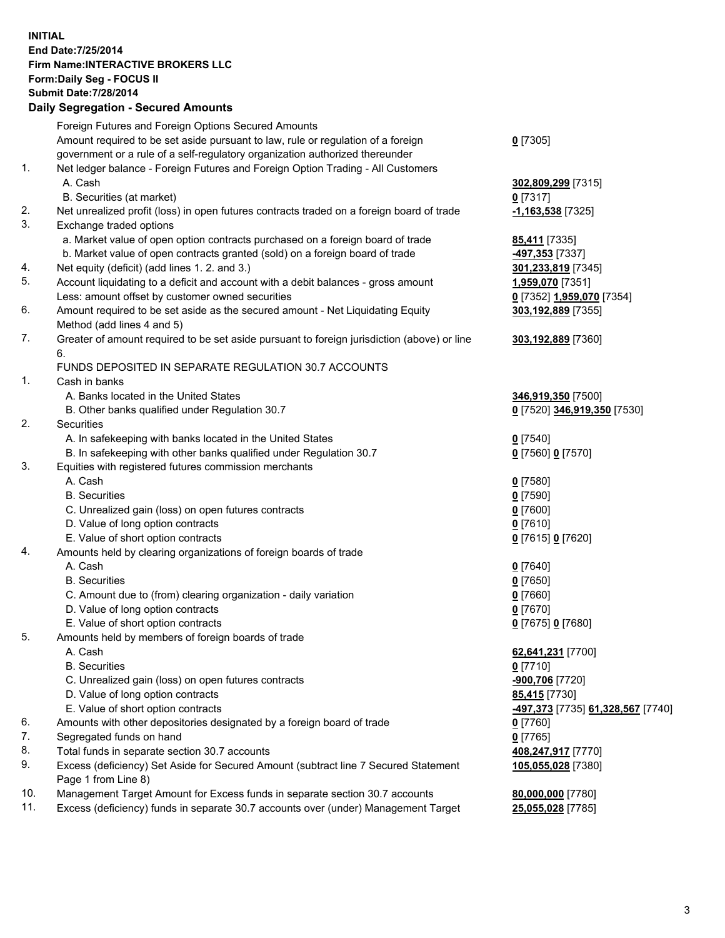## **INITIAL End Date:7/25/2014 Firm Name:INTERACTIVE BROKERS LLC Form:Daily Seg - FOCUS II Submit Date:7/28/2014 Daily Segregation - Secured Amounts**

|     | Dany Ocgregation - Oceanea Annoanta                                                         |                                                       |
|-----|---------------------------------------------------------------------------------------------|-------------------------------------------------------|
|     | Foreign Futures and Foreign Options Secured Amounts                                         |                                                       |
|     | Amount required to be set aside pursuant to law, rule or regulation of a foreign            | $0$ [7305]                                            |
|     | government or a rule of a self-regulatory organization authorized thereunder                |                                                       |
| 1.  | Net ledger balance - Foreign Futures and Foreign Option Trading - All Customers             |                                                       |
|     | A. Cash                                                                                     | 302,809,299 [7315]                                    |
|     | B. Securities (at market)                                                                   | $0$ [7317]                                            |
| 2.  | Net unrealized profit (loss) in open futures contracts traded on a foreign board of trade   | $-1,163,538$ [7325]                                   |
| 3.  | Exchange traded options                                                                     |                                                       |
|     | a. Market value of open option contracts purchased on a foreign board of trade              | 85,411 [7335]                                         |
|     | b. Market value of open contracts granted (sold) on a foreign board of trade                | -497,353 [7337]                                       |
| 4.  | Net equity (deficit) (add lines 1.2. and 3.)                                                | 301,233,819 [7345]                                    |
| 5.  | Account liquidating to a deficit and account with a debit balances - gross amount           | 1,959,070 [7351]                                      |
|     | Less: amount offset by customer owned securities                                            | 0 [7352] 1,959,070 [7354]                             |
| 6.  | Amount required to be set aside as the secured amount - Net Liquidating Equity              | 303,192,889 [7355]                                    |
|     | Method (add lines 4 and 5)                                                                  |                                                       |
| 7.  | Greater of amount required to be set aside pursuant to foreign jurisdiction (above) or line | 303,192,889 [7360]                                    |
|     | 6.                                                                                          |                                                       |
|     | FUNDS DEPOSITED IN SEPARATE REGULATION 30.7 ACCOUNTS                                        |                                                       |
| 1.  | Cash in banks                                                                               |                                                       |
|     | A. Banks located in the United States                                                       | 346,919,350 [7500]                                    |
|     | B. Other banks qualified under Regulation 30.7                                              | 0 [7520] 346,919,350 [7530]                           |
| 2.  | Securities                                                                                  |                                                       |
|     | A. In safekeeping with banks located in the United States                                   | $0$ [7540]                                            |
|     | B. In safekeeping with other banks qualified under Regulation 30.7                          | 0 [7560] 0 [7570]                                     |
| 3.  | Equities with registered futures commission merchants                                       |                                                       |
|     | A. Cash                                                                                     | $0$ [7580]                                            |
|     | <b>B.</b> Securities                                                                        | $0$ [7590]                                            |
|     | C. Unrealized gain (loss) on open futures contracts                                         | $0$ [7600]                                            |
|     | D. Value of long option contracts                                                           | $0$ [7610]                                            |
|     | E. Value of short option contracts                                                          | 0 [7615] 0 [7620]                                     |
| 4.  | Amounts held by clearing organizations of foreign boards of trade                           |                                                       |
|     | A. Cash                                                                                     | $0$ [7640]                                            |
|     | <b>B.</b> Securities                                                                        | $0$ [7650]                                            |
|     | C. Amount due to (from) clearing organization - daily variation                             | $0$ [7660]                                            |
|     | D. Value of long option contracts                                                           | $0$ [7670]                                            |
|     | E. Value of short option contracts                                                          | 0 [7675] 0 [7680]                                     |
| 5.  | Amounts held by members of foreign boards of trade                                          |                                                       |
|     | A. Cash                                                                                     | 62,641,231 [7700]                                     |
|     | <b>B.</b> Securities                                                                        | $0$ [7710]                                            |
|     | C. Unrealized gain (loss) on open futures contracts                                         | -900,706 [7720]                                       |
|     | D. Value of long option contracts                                                           | 85,415 [7730]                                         |
|     | E. Value of short option contracts                                                          | <mark>-497,373</mark> [7735] <b>61,328,567</b> [7740] |
| 6.  | Amounts with other depositories designated by a foreign board of trade                      | $0$ [7760]                                            |
| 7.  | Segregated funds on hand                                                                    | $0$ [7765]                                            |
| 8.  | Total funds in separate section 30.7 accounts                                               | 408,247,917 [7770]                                    |
| 9.  | Excess (deficiency) Set Aside for Secured Amount (subtract line 7 Secured Statement         | 105,055,028 [7380]                                    |
|     | Page 1 from Line 8)                                                                         |                                                       |
| 10. | Management Target Amount for Excess funds in separate section 30.7 accounts                 | 80,000,000 [7780]                                     |
| 11. | Excess (deficiency) funds in separate 30.7 accounts over (under) Management Target          | 25,055,028 [7785]                                     |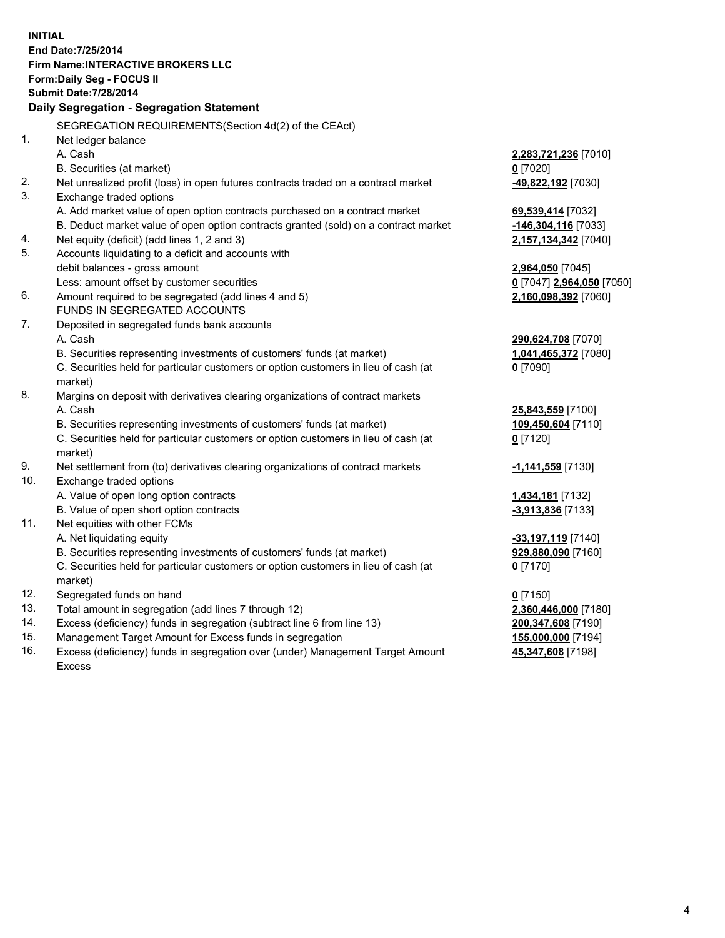**INITIAL End Date:7/25/2014 Firm Name:INTERACTIVE BROKERS LLC Form:Daily Seg - FOCUS II Submit Date:7/28/2014 Daily Segregation - Segregation Statement** SEGREGATION REQUIREMENTS(Section 4d(2) of the CEAct) 1. Net ledger balance A. Cash **2,283,721,236** [7010] B. Securities (at market) **0** [7020] 2. Net unrealized profit (loss) in open futures contracts traded on a contract market **-49,822,192** [7030] 3. Exchange traded options A. Add market value of open option contracts purchased on a contract market **69,539,414** [7032] B. Deduct market value of open option contracts granted (sold) on a contract market **-146,304,116** [7033] 4. Net equity (deficit) (add lines 1, 2 and 3) **2,157,134,342** [7040] 5. Accounts liquidating to a deficit and accounts with debit balances - gross amount **2,964,050** [7045] Less: amount offset by customer securities **0** [7047] **2,964,050** [7050] 6. Amount required to be segregated (add lines 4 and 5) **2,160,098,392** [7060] FUNDS IN SEGREGATED ACCOUNTS 7. Deposited in segregated funds bank accounts A. Cash **290,624,708** [7070] B. Securities representing investments of customers' funds (at market) **1,041,465,372** [7080] C. Securities held for particular customers or option customers in lieu of cash (at market) **0** [7090] 8. Margins on deposit with derivatives clearing organizations of contract markets A. Cash **25,843,559** [7100] B. Securities representing investments of customers' funds (at market) **109,450,604** [7110] C. Securities held for particular customers or option customers in lieu of cash (at market) **0** [7120] 9. Net settlement from (to) derivatives clearing organizations of contract markets **-1,141,559** [7130] 10. Exchange traded options A. Value of open long option contracts **1,434,181** [7132] B. Value of open short option contracts **and the set of open short option contracts -3,913,836** [7133] 11. Net equities with other FCMs A. Net liquidating equity **-33,197,119** [7140] B. Securities representing investments of customers' funds (at market) **929,880,090** [7160] C. Securities held for particular customers or option customers in lieu of cash (at market) **0** [7170] 12. Segregated funds on hand **0** [7150] 13. Total amount in segregation (add lines 7 through 12) **2,360,446,000** [7180] 14. Excess (deficiency) funds in segregation (subtract line 6 from line 13) **200,347,608** [7190] 15. Management Target Amount for Excess funds in segregation **155,000,000** [7194]

16. Excess (deficiency) funds in segregation over (under) Management Target Amount Excess

**45,347,608** [7198]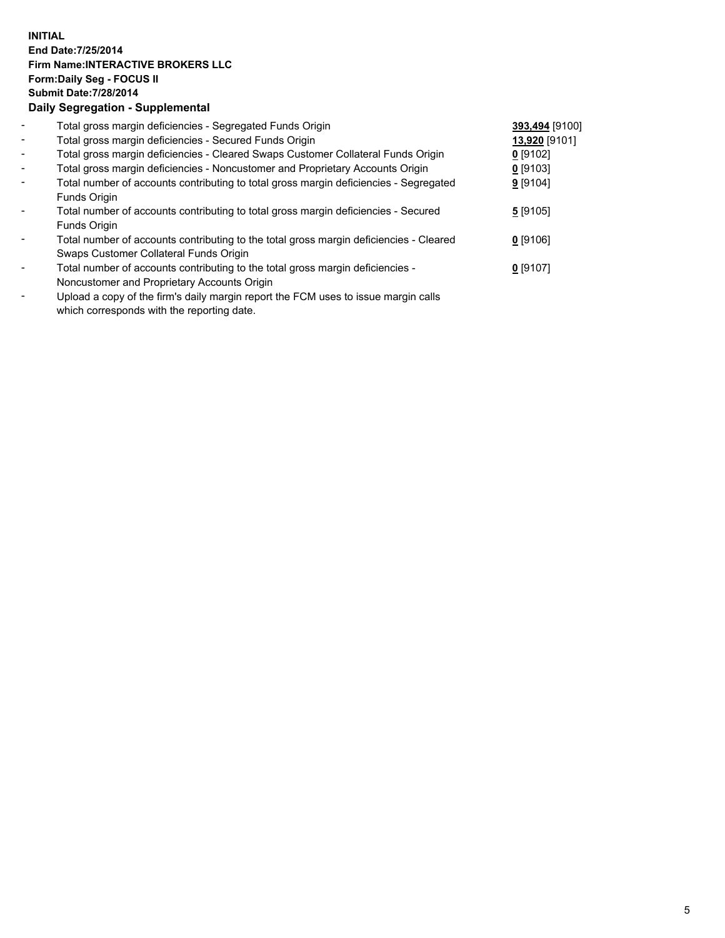## **INITIAL End Date:7/25/2014 Firm Name:INTERACTIVE BROKERS LLC Form:Daily Seg - FOCUS II Submit Date:7/28/2014 Daily Segregation - Supplemental**

| $\blacksquare$           | Total gross margin deficiencies - Segregated Funds Origin                              | 393,494 [9100] |  |
|--------------------------|----------------------------------------------------------------------------------------|----------------|--|
| $\overline{\phantom{a}}$ | Total gross margin deficiencies - Secured Funds Origin                                 | 13,920 [9101]  |  |
| $\blacksquare$           | Total gross margin deficiencies - Cleared Swaps Customer Collateral Funds Origin       | $0$ [9102]     |  |
| $\blacksquare$           | Total gross margin deficiencies - Noncustomer and Proprietary Accounts Origin          | 0 [9103]       |  |
| $\blacksquare$           | Total number of accounts contributing to total gross margin deficiencies - Segregated  | 9[9104]        |  |
|                          | Funds Origin                                                                           |                |  |
| $\blacksquare$           | Total number of accounts contributing to total gross margin deficiencies - Secured     | 5[9105]        |  |
|                          | Funds Origin                                                                           |                |  |
| $\blacksquare$           | Total number of accounts contributing to the total gross margin deficiencies - Cleared | $0$ [9106]     |  |
|                          | Swaps Customer Collateral Funds Origin                                                 |                |  |
| $\overline{\phantom{a}}$ | Total number of accounts contributing to the total gross margin deficiencies -         | $0$ [9107]     |  |
|                          | Noncustomer and Proprietary Accounts Origin                                            |                |  |
|                          | Lleised e sant ef the finele deilt mensin senart the FOM trees to issue mensing selle. |                |  |

Upload a copy of the firm's daily margin report the FCM uses to issue margin calls which corresponds with the reporting date.